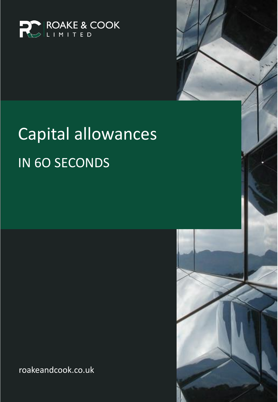

# Capital allowances **IN 60 SECONDS**

roakeandcook.co.uk

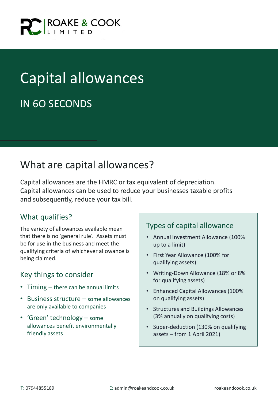

# Capital allowances

## IN 6O SECONDS

### What are capital allowances?

Capital allowances are the HMRC or tax equivalent of depreciation. Capital allowances can be used to reduce your businesses taxable profits and subsequently, reduce your tax bill.

#### What qualifies?

The variety of allowances available mean that there is no 'general rule'. Assets must be for use in the business and meet the qualifying criteria of whichever allowance is being claimed.

#### Key things to consider

- Timing there can be annual limits
- Business structure some allowances are only available to companies
- 'Green' technology some allowances benefit environmentally friendly assets

#### Types of capital allowance

- Annual Investment Allowance (100% up to a limit)
- First Year Allowance (100% for qualifying assets)
- Writing-Down Allowance (18% or 8% for qualifying assets)
- Enhanced Capital Allowances (100% on qualifying assets)
- Structures and Buildings Allowances (3% annually on qualifying costs)
- Super-deduction (130% on qualifying assets – from 1 April 2021)